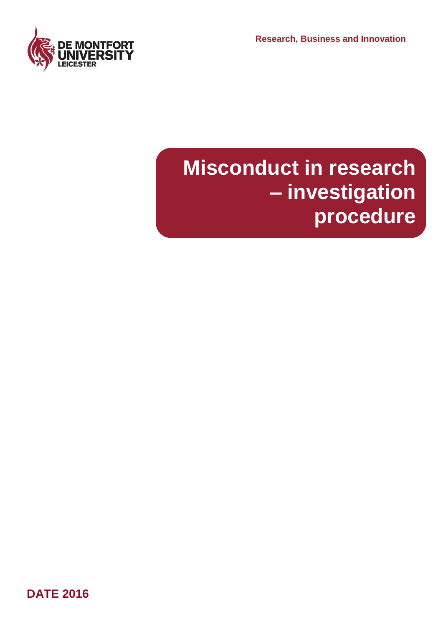**Research, Business and Innovation** 



# **Misconduct in research – investigation procedure**

**DATE 2016**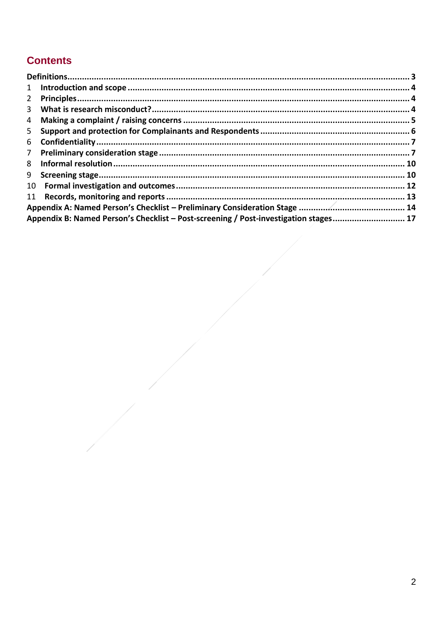#### **Contents**

| $1 \quad$      |                                                                                      |  |
|----------------|--------------------------------------------------------------------------------------|--|
| $\mathbf{2}$   |                                                                                      |  |
| $\mathbf{3}$   |                                                                                      |  |
| 4              |                                                                                      |  |
| 5              |                                                                                      |  |
| 6              |                                                                                      |  |
| 7 <sup>7</sup> |                                                                                      |  |
| 8              |                                                                                      |  |
|                |                                                                                      |  |
|                |                                                                                      |  |
|                |                                                                                      |  |
|                |                                                                                      |  |
|                | Appendix B: Named Person's Checklist - Post-screening / Post-investigation stages 17 |  |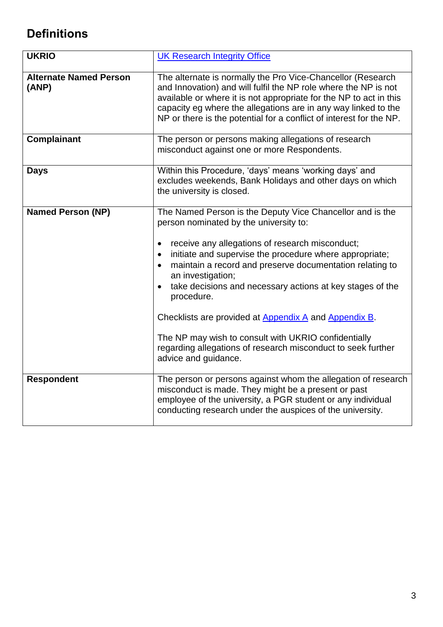## <span id="page-2-0"></span>**Definitions**

| <b>UKRIO</b>                           | <b>UK Research Integrity Office</b>                                                                                                                                                                                                                                                                                                                                                                                                                                                                                                                                                                                           |
|----------------------------------------|-------------------------------------------------------------------------------------------------------------------------------------------------------------------------------------------------------------------------------------------------------------------------------------------------------------------------------------------------------------------------------------------------------------------------------------------------------------------------------------------------------------------------------------------------------------------------------------------------------------------------------|
| <b>Alternate Named Person</b><br>(ANP) | The alternate is normally the Pro Vice-Chancellor (Research<br>and Innovation) and will fulfil the NP role where the NP is not<br>available or where it is not appropriate for the NP to act in this<br>capacity eg where the allegations are in any way linked to the<br>NP or there is the potential for a conflict of interest for the NP.                                                                                                                                                                                                                                                                                 |
| <b>Complainant</b>                     | The person or persons making allegations of research<br>misconduct against one or more Respondents.                                                                                                                                                                                                                                                                                                                                                                                                                                                                                                                           |
| <b>Days</b>                            | Within this Procedure, 'days' means 'working days' and<br>excludes weekends, Bank Holidays and other days on which<br>the university is closed.                                                                                                                                                                                                                                                                                                                                                                                                                                                                               |
| <b>Named Person (NP)</b>               | The Named Person is the Deputy Vice Chancellor and is the<br>person nominated by the university to:<br>receive any allegations of research misconduct;<br>$\bullet$<br>initiate and supervise the procedure where appropriate;<br>$\bullet$<br>maintain a record and preserve documentation relating to<br>an investigation;<br>take decisions and necessary actions at key stages of the<br>$\bullet$<br>procedure.<br>Checklists are provided at Appendix A and Appendix B.<br>The NP may wish to consult with UKRIO confidentially<br>regarding allegations of research misconduct to seek further<br>advice and guidance. |
| <b>Respondent</b>                      | The person or persons against whom the allegation of research<br>misconduct is made. They might be a present or past<br>employee of the university, a PGR student or any individual<br>conducting research under the auspices of the university.                                                                                                                                                                                                                                                                                                                                                                              |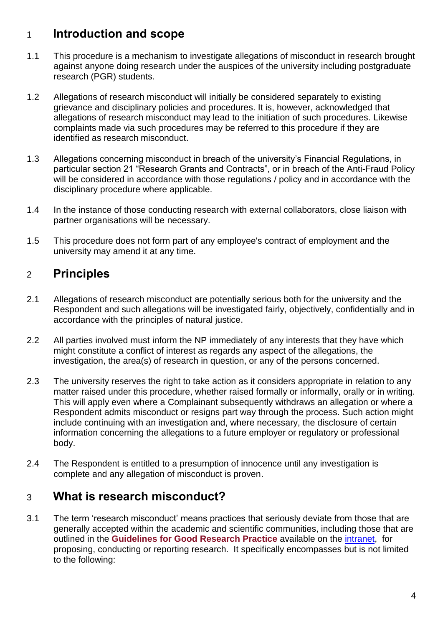## 1 **Introduction and scope**

- 1.1 This procedure is a mechanism to investigate allegations of misconduct in research brought against anyone doing research under the auspices of the university including postgraduate research (PGR) students.
- 1.2 Allegations of research misconduct will initially be considered separately to existing grievance and disciplinary policies and procedures. It is, however, acknowledged that allegations of research misconduct may lead to the initiation of such procedures. Likewise complaints made via such procedures may be referred to this procedure if they are identified as research misconduct.
- 1.3 Allegations concerning misconduct in breach of the university's Financial Regulations, in particular section 21 "Research Grants and Contracts", or in breach of the Anti-Fraud Policy will be considered in accordance with those regulations / policy and in accordance with the disciplinary procedure where applicable.
- 1.4 In the instance of those conducting research with external collaborators, close liaison with partner organisations will be necessary.
- 1.5 This procedure does not form part of any employee's contract of employment and the university may amend it at any time.

#### 2 **Principles**

- 2.1 Allegations of research misconduct are potentially serious both for the university and the Respondent and such allegations will be investigated fairly, objectively, confidentially and in accordance with the principles of natural justice.
- 2.2 All parties involved must inform the NP immediately of any interests that they have which might constitute a conflict of interest as regards any aspect of the allegations, the investigation, the area(s) of research in question, or any of the persons concerned.
- <span id="page-3-0"></span>2.3 The university reserves the right to take action as it considers appropriate in relation to any matter raised under this procedure, whether raised formally or informally, orally or in writing. This will apply even where a Complainant subsequently withdraws an allegation or where a Respondent admits misconduct or resigns part way through the process. Such action might include continuing with an investigation and, where necessary, the disclosure of certain information concerning the allegations to a future employer or regulatory or professional body.
- 2.4 The Respondent is entitled to a presumption of innocence until any investigation is complete and any allegation of misconduct is proven.

## <span id="page-3-1"></span>3 **What is research misconduct?**

3.1 The term 'research misconduct' means practices that seriously deviate from those that are generally accepted within the academic and scientific communities, including those that are outlined in the **Guidelines for Good Research Practice** available on the [intranet,](http://www.dmu.ac.uk/documents/research-documents/ethics-faculty-procedures/ethics-and-governance-general-/dmu-guidelines-good-research-practice.pdf) for proposing, conducting or reporting research. It specifically encompasses but is not limited to the following: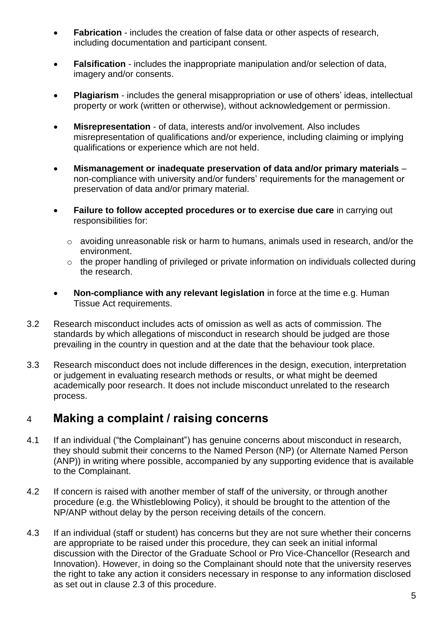- **Fabrication** includes the creation of false data or other aspects of research, including documentation and participant consent.
- **Falsification** includes the inappropriate manipulation and/or selection of data, imagery and/or consents.
- **Plagiarism** includes the general misappropriation or use of others' ideas, intellectual property or work (written or otherwise), without acknowledgement or permission.
- **Misrepresentation** of data, interests and/or involvement. Also includes misrepresentation of qualifications and/or experience, including claiming or implying qualifications or experience which are not held.
- **Mismanagement or inadequate preservation of data and/or primary materials** non-compliance with university and/or funders' requirements for the management or preservation of data and/or primary material.
- **Failure to follow accepted procedures or to exercise due care** in carrying out responsibilities for:
	- o avoiding unreasonable risk or harm to humans, animals used in research, and/or the environment.
	- o the proper handling of privileged or private information on individuals collected during the research.
- **Non-compliance with any relevant legislation** in force at the time e.g. Human Tissue Act requirements.
- 3.2 Research misconduct includes acts of omission as well as acts of commission. The standards by which allegations of misconduct in research should be judged are those prevailing in the country in question and at the date that the behaviour took place.
- 3.3 Research misconduct does not include differences in the design, execution, interpretation or judgement in evaluating research methods or results, or what might be deemed academically poor research. It does not include misconduct unrelated to the research process.

#### 4 **Making a complaint / raising concerns**

- 4.1 If an individual ("the Complainant") has genuine concerns about misconduct in research, they should submit their concerns to the Named Person (NP) (or Alternate Named Person (ANP)) in writing where possible, accompanied by any supporting evidence that is available to the Complainant.
- 4.2 If concern is raised with another member of staff of the university, or through another procedure (e.g. the Whistleblowing Policy), it should be brought to the attention of the NP/ANP without delay by the person receiving details of the concern.
- 4.3 If an individual (staff or student) has concerns but they are not sure whether their concerns are appropriate to be raised under this procedure, they can seek an initial informal discussion with the Director of the Graduate School or Pro Vice-Chancellor (Research and Innovation). However, in doing so the Complainant should note that the university reserves the right to take any action it considers necessary in response to any information disclosed as set out in clause [2.3](#page-3-0) of this procedure.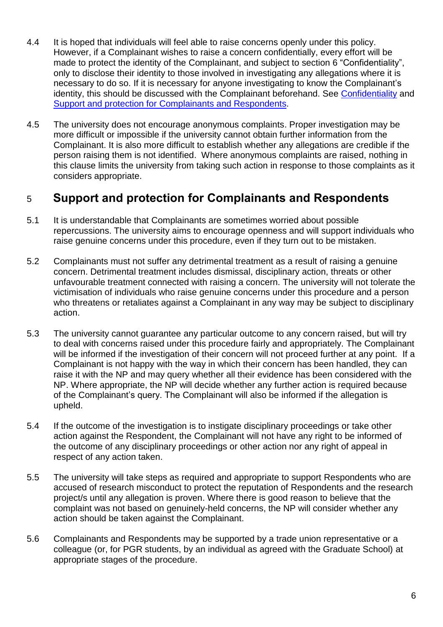- 4.4 It is hoped that individuals will feel able to raise concerns openly under this policy. However, if a Complainant wishes to raise a concern confidentially, every effort will be made to protect the identity of the Complainant, and subject to section [6](#page-6-0) "Confidentiality", only to disclose their identity to those involved in investigating any allegations where it is necessary to do so. If it is necessary for anyone investigating to know the Complainant's identity, this should be discussed with the Complainant beforehand. See [Confidentiality](#page-6-0) and [Support and protection for Complainants and Respondents.](#page-5-0)
- 4.5 The university does not encourage anonymous complaints. Proper investigation may be more difficult or impossible if the university cannot obtain further information from the Complainant. It is also more difficult to establish whether any allegations are credible if the person raising them is not identified. Where anonymous complaints are raised, nothing in this clause limits the university from taking such action in response to those complaints as it considers appropriate.

#### <span id="page-5-0"></span>5 **Support and protection for Complainants and Respondents**

- 5.1 It is understandable that Complainants are sometimes worried about possible repercussions. The university aims to encourage openness and will support individuals who raise genuine concerns under this procedure, even if they turn out to be mistaken.
- 5.2 Complainants must not suffer any detrimental treatment as a result of raising a genuine concern. Detrimental treatment includes dismissal, disciplinary action, threats or other unfavourable treatment connected with raising a concern. The university will not tolerate the victimisation of individuals who raise genuine concerns under this procedure and a person who threatens or retaliates against a Complainant in any way may be subject to disciplinary action.
- 5.3 The university cannot guarantee any particular outcome to any concern raised, but will try to deal with concerns raised under this procedure fairly and appropriately. The Complainant will be informed if the investigation of their concern will not proceed further at any point. If a Complainant is not happy with the way in which their concern has been handled, they can raise it with the NP and may query whether all their evidence has been considered with the NP. Where appropriate, the NP will decide whether any further action is required because of the Complainant's query. The Complainant will also be informed if the allegation is upheld.
- 5.4 If the outcome of the investigation is to instigate disciplinary proceedings or take other action against the Respondent, the Complainant will not have any right to be informed of the outcome of any disciplinary proceedings or other action nor any right of appeal in respect of any action taken.
- 5.5 The university will take steps as required and appropriate to support Respondents who are accused of research misconduct to protect the reputation of Respondents and the research project/s until any allegation is proven. Where there is good reason to believe that the complaint was not based on genuinely-held concerns, the NP will consider whether any action should be taken against the Complainant.
- 5.6 Complainants and Respondents may be supported by a trade union representative or a colleague (or, for PGR students, by an individual as agreed with the Graduate School) at appropriate stages of the procedure.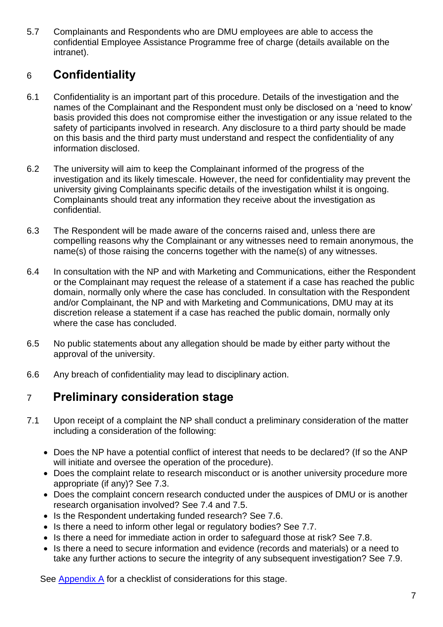5.7 Complainants and Respondents who are DMU employees are able to access the confidential Employee Assistance Programme free of charge (details available on the intranet).

## <span id="page-6-0"></span>6 **Confidentiality**

- 6.1 Confidentiality is an important part of this procedure. Details of the investigation and the names of the Complainant and the Respondent must only be disclosed on a 'need to know' basis provided this does not compromise either the investigation or any issue related to the safety of participants involved in research. Any disclosure to a third party should be made on this basis and the third party must understand and respect the confidentiality of any information disclosed.
- <span id="page-6-1"></span>6.2 The university will aim to keep the Complainant informed of the progress of the investigation and its likely timescale. However, the need for confidentiality may prevent the university giving Complainants specific details of the investigation whilst it is ongoing. Complainants should treat any information they receive about the investigation as confidential.
- 6.3 The Respondent will be made aware of the concerns raised and, unless there are compelling reasons why the Complainant or any witnesses need to remain anonymous, the name(s) of those raising the concerns together with the name(s) of any witnesses.
- 6.4 In consultation with the NP and with Marketing and Communications, either the Respondent or the Complainant may request the release of a statement if a case has reached the public domain, normally only where the case has concluded. In consultation with the Respondent and/or Complainant, the NP and with Marketing and Communications, DMU may at its discretion release a statement if a case has reached the public domain, normally only where the case has concluded.
- 6.5 No public statements about any allegation should be made by either party without the approval of the university.
- 6.6 Any breach of confidentiality may lead to disciplinary action.

## 7 **Preliminary consideration stage**

- 7.1 Upon receipt of a complaint the NP shall conduct a preliminary consideration of the matter including a consideration of the following:
	- Does the NP have a potential conflict of interest that needs to be declared? (If so the ANP will initiate and oversee the operation of the procedure).
	- Does the complaint relate to research misconduct or is another university procedure more appropriate (if any)? See [7.3.](#page-7-0)
	- Does the complaint concern research conducted under the auspices of DMU or is another research organisation involved? See [7.4](#page-7-1) and [7.5.](#page-7-2)
	- Is the Respondent undertaking funded research? See [7.6.](#page-7-3)
	- Is there a need to inform other legal or regulatory bodies? See [7.7.](#page-7-4)
	- Is there a need for immediate action in order to safeguard those at risk? See [7.8.](#page-7-5)
	- Is there a need to secure information and evidence (records and materials) or a need to take any further actions to secure the integrity of any subsequent investigation? See [7.9.](#page-7-6)

See [Appendix A](#page-13-0) for a checklist of considerations for this stage.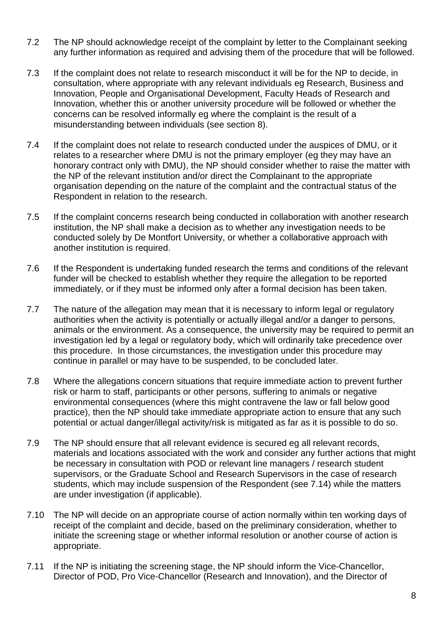- 7.2 The NP should acknowledge receipt of the complaint by letter to the Complainant seeking any further information as required and advising them of the procedure that will be followed.
- <span id="page-7-0"></span>7.3 If the complaint does not relate to research misconduct it will be for the NP to decide, in consultation, where appropriate with any relevant individuals eg Research, Business and Innovation, People and Organisational Development, Faculty Heads of Research and Innovation, whether this or another university procedure will be followed or whether the concerns can be resolved informally eg where the complaint is the result of a misunderstanding between individuals (see section [8\)](#page-9-0).
- <span id="page-7-1"></span>7.4 If the complaint does not relate to research conducted under the auspices of DMU, or it relates to a researcher where DMU is not the primary employer (eg they may have an honorary contract only with DMU), the NP should consider whether to raise the matter with the NP of the relevant institution and/or direct the Complainant to the appropriate organisation depending on the nature of the complaint and the contractual status of the Respondent in relation to the research.
- <span id="page-7-2"></span>7.5 If the complaint concerns research being conducted in collaboration with another research institution, the NP shall make a decision as to whether any investigation needs to be conducted solely by De Montfort University, or whether a collaborative approach with another institution is required.
- <span id="page-7-3"></span>7.6 If the Respondent is undertaking funded research the terms and conditions of the relevant funder will be checked to establish whether they require the allegation to be reported immediately, or if they must be informed only after a formal decision has been taken.
- <span id="page-7-4"></span>7.7 The nature of the allegation may mean that it is necessary to inform legal or regulatory authorities when the activity is potentially or actually illegal and/or a danger to persons, animals or the environment. As a consequence, the university may be required to permit an investigation led by a legal or regulatory body, which will ordinarily take precedence over this procedure. In those circumstances, the investigation under this procedure may continue in parallel or may have to be suspended, to be concluded later.
- <span id="page-7-5"></span>7.8 Where the allegations concern situations that require immediate action to prevent further risk or harm to staff, participants or other persons, suffering to animals or negative environmental consequences (where this might contravene the law or fall below good practice), then the NP should take immediate appropriate action to ensure that any such potential or actual danger/illegal activity/risk is mitigated as far as it is possible to do so.
- <span id="page-7-6"></span>7.9 The NP should ensure that all relevant evidence is secured eg all relevant records, materials and locations associated with the work and consider any further actions that might be necessary in consultation with POD or relevant line managers / research student supervisors, or the Graduate School and Research Supervisors in the case of research students, which may include suspension of the Respondent (see 7.14) while the matters are under investigation (if applicable).
- <span id="page-7-7"></span>7.10 The NP will decide on an appropriate course of action normally within ten working days of receipt of the complaint and decide, based on the preliminary consideration, whether to initiate the screening stage or whether informal resolution or another course of action is appropriate.
- <span id="page-7-8"></span>7.11 If the NP is initiating the screening stage, the NP should inform the Vice-Chancellor, Director of POD, Pro Vice-Chancellor (Research and Innovation), and the Director of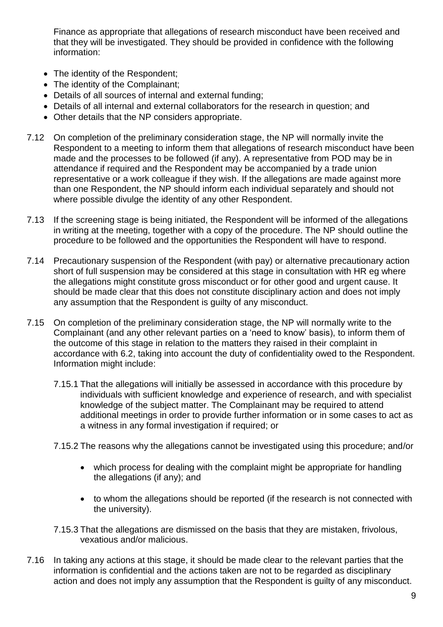Finance as appropriate that allegations of research misconduct have been received and that they will be investigated. They should be provided in confidence with the following information:

- The identity of the Respondent;
- The identity of the Complainant;
- Details of all sources of internal and external funding;
- Details of all internal and external collaborators for the research in question; and
- Other details that the NP considers appropriate.
- <span id="page-8-0"></span>7.12 On completion of the preliminary consideration stage, the NP will normally invite the Respondent to a meeting to inform them that allegations of research misconduct have been made and the processes to be followed (if any). A representative from POD may be in attendance if required and the Respondent may be accompanied by a trade union representative or a work colleague if they wish. If the allegations are made against more than one Respondent, the NP should inform each individual separately and should not where possible divulge the identity of any other Respondent.
- 7.13 If the screening stage is being initiated, the Respondent will be informed of the allegations in writing at the meeting, together with a copy of the procedure. The NP should outline the procedure to be followed and the opportunities the Respondent will have to respond.
- 7.14 Precautionary suspension of the Respondent (with pay) or alternative precautionary action short of full suspension may be considered at this stage in consultation with HR eg where the allegations might constitute gross misconduct or for other good and urgent cause. It should be made clear that this does not constitute disciplinary action and does not imply any assumption that the Respondent is guilty of any misconduct.
- <span id="page-8-1"></span>7.15 On completion of the preliminary consideration stage, the NP will normally write to the Complainant (and any other relevant parties on a 'need to know' basis), to inform them of the outcome of this stage in relation to the matters they raised in their complaint in accordance with [6.2,](#page-6-1) taking into account the duty of confidentiality owed to the Respondent. Information might include:
	- 7.15.1 That the allegations will initially be assessed in accordance with this procedure by individuals with sufficient knowledge and experience of research, and with specialist knowledge of the subject matter. The Complainant may be required to attend additional meetings in order to provide further information or in some cases to act as a witness in any formal investigation if required; or

7.15.2 The reasons why the allegations cannot be investigated using this procedure; and/or

- which process for dealing with the complaint might be appropriate for handling the allegations (if any); and
- to whom the allegations should be reported (if the research is not connected with the university).
- 7.15.3 That the allegations are dismissed on the basis that they are mistaken, frivolous, vexatious and/or malicious.
- 7.16 In taking any actions at this stage, it should be made clear to the relevant parties that the information is confidential and the actions taken are not to be regarded as disciplinary action and does not imply any assumption that the Respondent is guilty of any misconduct.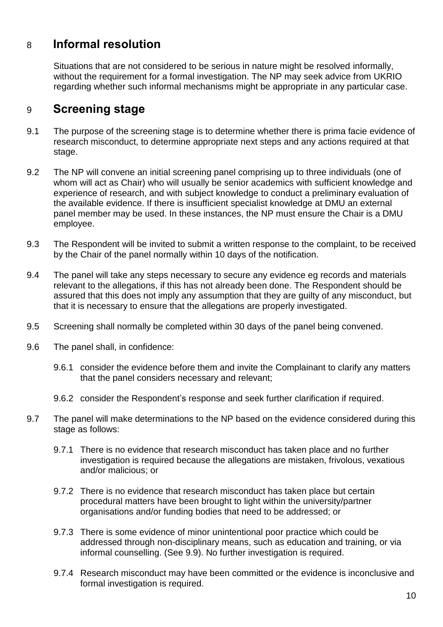#### <span id="page-9-0"></span>8 **Informal resolution**

Situations that are not considered to be serious in nature might be resolved informally, without the requirement for a formal investigation. The NP may seek advice from UKRIO regarding whether such informal mechanisms might be appropriate in any particular case.

#### <span id="page-9-1"></span>9 **Screening stage**

- 9.1 The purpose of the screening stage is to determine whether there is prima facie evidence of research misconduct, to determine appropriate next steps and any actions required at that stage.
- 9.2 The NP will convene an initial screening panel comprising up to three individuals (one of whom will act as Chair) who will usually be senior academics with sufficient knowledge and experience of research, and with subject knowledge to conduct a preliminary evaluation of the available evidence. If there is insufficient specialist knowledge at DMU an external panel member may be used. In these instances, the NP must ensure the Chair is a DMU employee.
- 9.3 The Respondent will be invited to submit a written response to the complaint, to be received by the Chair of the panel normally within 10 days of the notification.
- 9.4 The panel will take any steps necessary to secure any evidence eg records and materials relevant to the allegations, if this has not already been done. The Respondent should be assured that this does not imply any assumption that they are guilty of any misconduct, but that it is necessary to ensure that the allegations are properly investigated.
- 9.5 Screening shall normally be completed within 30 days of the panel being convened.
- 9.6 The panel shall, in confidence:
	- 9.6.1 consider the evidence before them and invite the Complainant to clarify any matters that the panel considers necessary and relevant;
	- 9.6.2 consider the Respondent's response and seek further clarification if required.
- 9.7 The panel will make determinations to the NP based on the evidence considered during this stage as follows:
	- 9.7.1 There is no evidence that research misconduct has taken place and no further investigation is required because the allegations are mistaken, frivolous, vexatious and/or malicious; or
	- 9.7.2 There is no evidence that research misconduct has taken place but certain procedural matters have been brought to light within the university/partner organisations and/or funding bodies that need to be addressed; or
	- 9.7.3 There is some evidence of minor unintentional poor practice which could be addressed through non-disciplinary means, such as education and training, or via informal counselling. (See [9.9\)](#page-10-0). No further investigation is required.
	- 9.7.4 Research misconduct may have been committed or the evidence is inconclusive and formal investigation is required.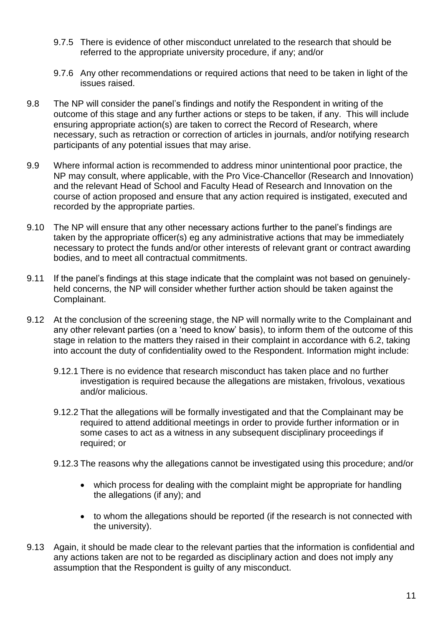- 9.7.5 There is evidence of other misconduct unrelated to the research that should be referred to the appropriate university procedure, if any; and/or
- 9.7.6 Any other recommendations or required actions that need to be taken in light of the issues raised.
- <span id="page-10-1"></span>9.8 The NP will consider the panel's findings and notify the Respondent in writing of the outcome of this stage and any further actions or steps to be taken, if any. This will include ensuring appropriate action(s) are taken to correct the Record of Research, where necessary, such as retraction or correction of articles in journals, and/or notifying research participants of any potential issues that may arise.
- <span id="page-10-0"></span>9.9 Where informal action is recommended to address minor unintentional poor practice, the NP may consult, where applicable, with the Pro Vice-Chancellor (Research and Innovation) and the relevant Head of School and Faculty Head of Research and Innovation on the course of action proposed and ensure that any action required is instigated, executed and recorded by the appropriate parties.
- 9.10 The NP will ensure that any other necessary actions further to the panel's findings are taken by the appropriate officer(s) eg any administrative actions that may be immediately necessary to protect the funds and/or other interests of relevant grant or contract awarding bodies, and to meet all contractual commitments.
- <span id="page-10-2"></span>9.11 If the panel's findings at this stage indicate that the complaint was not based on genuinelyheld concerns, the NP will consider whether further action should be taken against the Complainant.
- 9.12 At the conclusion of the screening stage, the NP will normally write to the Complainant and any other relevant parties (on a 'need to know' basis), to inform them of the outcome of this stage in relation to the matters they raised in their complaint in accordance with [6.2,](#page-6-1) taking into account the duty of confidentiality owed to the Respondent. Information might include:
	- 9.12.1 There is no evidence that research misconduct has taken place and no further investigation is required because the allegations are mistaken, frivolous, vexatious and/or malicious.
	- 9.12.2 That the allegations will be formally investigated and that the Complainant may be required to attend additional meetings in order to provide further information or in some cases to act as a witness in any subsequent disciplinary proceedings if required; or
	- 9.12.3 The reasons why the allegations cannot be investigated using this procedure; and/or
		- which process for dealing with the complaint might be appropriate for handling the allegations (if any); and
		- to whom the allegations should be reported (if the research is not connected with the university).
- 9.13 Again, it should be made clear to the relevant parties that the information is confidential and any actions taken are not to be regarded as disciplinary action and does not imply any assumption that the Respondent is guilty of any misconduct.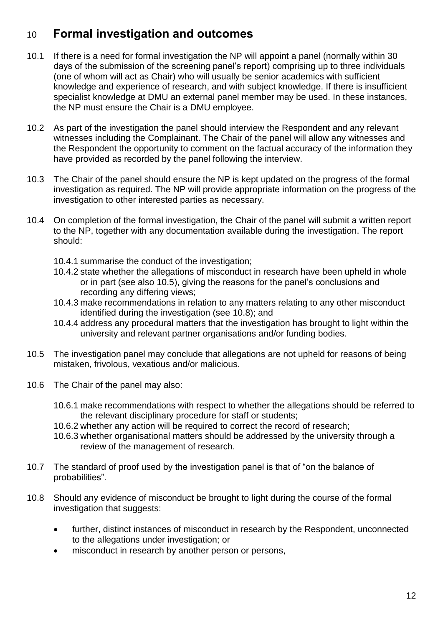## 10 **Formal investigation and outcomes**

- 10.1 If there is a need for formal investigation the NP will appoint a panel (normally within 30 days of the submission of the screening panel's report) comprising up to three individuals (one of whom will act as Chair) who will usually be senior academics with sufficient knowledge and experience of research, and with subject knowledge. If there is insufficient specialist knowledge at DMU an external panel member may be used. In these instances, the NP must ensure the Chair is a DMU employee.
- 10.2 As part of the investigation the panel should interview the Respondent and any relevant witnesses including the Complainant. The Chair of the panel will allow any witnesses and the Respondent the opportunity to comment on the factual accuracy of the information they have provided as recorded by the panel following the interview.
- 10.3 The Chair of the panel should ensure the NP is kept updated on the progress of the formal investigation as required. The NP will provide appropriate information on the progress of the investigation to other interested parties as necessary.
- 10.4 On completion of the formal investigation, the Chair of the panel will submit a written report to the NP, together with any documentation available during the investigation. The report should:
	- 10.4.1 summarise the conduct of the investigation;
	- 10.4.2 state whether the allegations of misconduct in research have been upheld in whole or in part (see also [10.5\)](#page-11-0), giving the reasons for the panel's conclusions and recording any differing views;
	- 10.4.3 make recommendations in relation to any matters relating to any other misconduct identified during the investigation (see [10.8\)](#page-11-1); and
	- 10.4.4 address any procedural matters that the investigation has brought to light within the university and relevant partner organisations and/or funding bodies.
- <span id="page-11-0"></span>10.5 The investigation panel may conclude that allegations are not upheld for reasons of being mistaken, frivolous, vexatious and/or malicious.
- 10.6 The Chair of the panel may also:
	- 10.6.1 make recommendations with respect to whether the allegations should be referred to the relevant disciplinary procedure for staff or students;
	- 10.6.2 whether any action will be required to correct the record of research;
	- 10.6.3 whether organisational matters should be addressed by the university through a review of the management of research.
- 10.7 The standard of proof used by the investigation panel is that of "on the balance of probabilities".
- <span id="page-11-1"></span>10.8 Should any evidence of misconduct be brought to light during the course of the formal investigation that suggests:
	- further, distinct instances of misconduct in research by the Respondent, unconnected to the allegations under investigation; or
	- misconduct in research by another person or persons,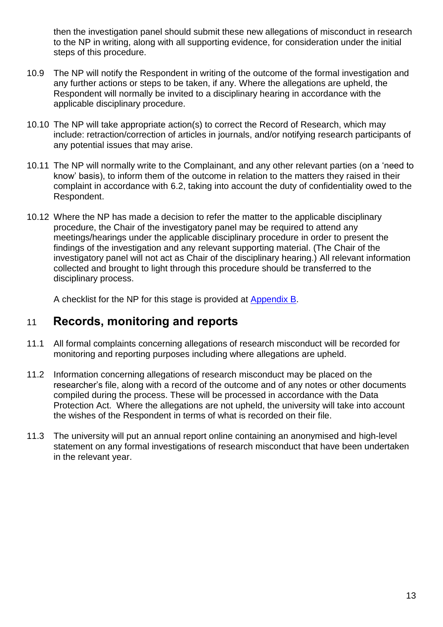then the investigation panel should submit these new allegations of misconduct in research to the NP in writing, along with all supporting evidence, for consideration under the initial steps of this procedure.

- 10.9 The NP will notify the Respondent in writing of the outcome of the formal investigation and any further actions or steps to be taken, if any. Where the allegations are upheld, the Respondent will normally be invited to a disciplinary hearing in accordance with the applicable disciplinary procedure.
- 10.10 The NP will take appropriate action(s) to correct the Record of Research, which may include: retraction/correction of articles in journals, and/or notifying research participants of any potential issues that may arise.
- 10.11 The NP will normally write to the Complainant, and any other relevant parties (on a 'need to know' basis), to inform them of the outcome in relation to the matters they raised in their complaint in accordance with [6.2,](#page-6-1) taking into account the duty of confidentiality owed to the Respondent.
- 10.12 Where the NP has made a decision to refer the matter to the applicable disciplinary procedure, the Chair of the investigatory panel may be required to attend any meetings/hearings under the applicable disciplinary procedure in order to present the findings of the investigation and any relevant supporting material. (The Chair of the investigatory panel will not act as Chair of the disciplinary hearing.) All relevant information collected and brought to light through this procedure should be transferred to the disciplinary process.

A checklist for the NP for this stage is provided at [Appendix B.](#page-16-0)

#### 11 **Records, monitoring and reports**

- 11.1 All formal complaints concerning allegations of research misconduct will be recorded for monitoring and reporting purposes including where allegations are upheld.
- 11.2 Information concerning allegations of research misconduct may be placed on the researcher's file, along with a record of the outcome and of any notes or other documents compiled during the process. These will be processed in accordance with the Data Protection Act. Where the allegations are not upheld, the university will take into account the wishes of the Respondent in terms of what is recorded on their file.
- 11.3 The university will put an annual report online containing an anonymised and high-level statement on any formal investigations of research misconduct that have been undertaken in the relevant year.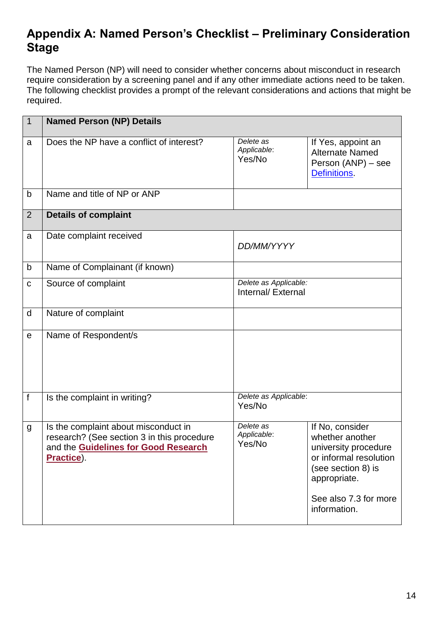## <span id="page-13-0"></span>**Appendix A: Named Person's Checklist – Preliminary Consideration Stage**

The Named Person (NP) will need to consider whether concerns about misconduct in research require consideration by a screening panel and if any other immediate actions need to be taken. The following checklist provides a prompt of the relevant considerations and actions that might be required.

| $\vert$ 1    | <b>Named Person (NP) Details</b>                                                                                                                |                                             |                                                                                                                                                                     |
|--------------|-------------------------------------------------------------------------------------------------------------------------------------------------|---------------------------------------------|---------------------------------------------------------------------------------------------------------------------------------------------------------------------|
| a            | Does the NP have a conflict of interest?                                                                                                        | Delete as<br>Applicable:<br>Yes/No          | If Yes, appoint an<br><b>Alternate Named</b><br>Person (ANP) - see<br>Definitions.                                                                                  |
| b            | Name and title of NP or ANP                                                                                                                     |                                             |                                                                                                                                                                     |
| 2            | <b>Details of complaint</b>                                                                                                                     |                                             |                                                                                                                                                                     |
| a            | Date complaint received                                                                                                                         | DD/MM/YYYY                                  |                                                                                                                                                                     |
| $\mathsf b$  | Name of Complainant (if known)                                                                                                                  |                                             |                                                                                                                                                                     |
| $\mathbf C$  | Source of complaint                                                                                                                             | Delete as Applicable:<br>Internal/ External |                                                                                                                                                                     |
| $\mathsf{d}$ | Nature of complaint                                                                                                                             |                                             |                                                                                                                                                                     |
| e            | Name of Respondent/s                                                                                                                            |                                             |                                                                                                                                                                     |
| f            | Is the complaint in writing?                                                                                                                    | Delete as Applicable:<br>Yes/No             |                                                                                                                                                                     |
| g            | Is the complaint about misconduct in<br>research? (See section 3 in this procedure<br>and the <b>Guidelines for Good Research</b><br>Practice). | Delete as<br>Applicable:<br>Yes/No          | If No, consider<br>whether another<br>university procedure<br>or informal resolution<br>(see section 8) is<br>appropriate.<br>See also 7.3 for more<br>information. |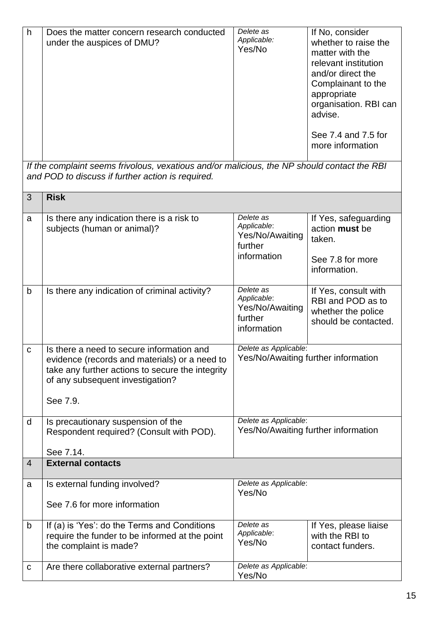| h                                                                                                                                                | Does the matter concern research conducted<br>under the auspices of DMU?                                                                                                                       | Delete as<br>Applicable:<br>Yes/No                                    | If No, consider<br>whether to raise the<br>matter with the<br>relevant institution<br>and/or direct the<br>Complainant to the<br>appropriate<br>organisation. RBI can<br>advise. |
|--------------------------------------------------------------------------------------------------------------------------------------------------|------------------------------------------------------------------------------------------------------------------------------------------------------------------------------------------------|-----------------------------------------------------------------------|----------------------------------------------------------------------------------------------------------------------------------------------------------------------------------|
|                                                                                                                                                  |                                                                                                                                                                                                |                                                                       | See 7.4 and 7.5 for<br>more information                                                                                                                                          |
| If the complaint seems frivolous, vexatious and/or malicious, the NP should contact the RBI<br>and POD to discuss if further action is required. |                                                                                                                                                                                                |                                                                       |                                                                                                                                                                                  |
| 3                                                                                                                                                | <b>Risk</b>                                                                                                                                                                                    |                                                                       |                                                                                                                                                                                  |
| a                                                                                                                                                | Is there any indication there is a risk to<br>subjects (human or animal)?                                                                                                                      | Delete as<br>Applicable:<br>Yes/No/Awaiting<br>further<br>information | If Yes, safeguarding<br>action must be<br>taken.<br>See 7.8 for more<br>information.                                                                                             |
| $\mathsf b$                                                                                                                                      | Is there any indication of criminal activity?                                                                                                                                                  | Delete as<br>Applicable:<br>Yes/No/Awaiting<br>further<br>information | If Yes, consult with<br>RBI and POD as to<br>whether the police<br>should be contacted.                                                                                          |
| $\mathbf C$                                                                                                                                      | Is there a need to secure information and<br>evidence (records and materials) or a need to<br>take any further actions to secure the integrity<br>of any subsequent investigation?<br>See 7.9. | Delete as Applicable:<br>Yes/No/Awaiting further information          |                                                                                                                                                                                  |
| d                                                                                                                                                | Is precautionary suspension of the                                                                                                                                                             | Delete as Applicable:<br>Yes/No/Awaiting further information          |                                                                                                                                                                                  |
|                                                                                                                                                  | Respondent required? (Consult with POD).<br>See 7.14.                                                                                                                                          |                                                                       |                                                                                                                                                                                  |
| $\overline{4}$                                                                                                                                   | <b>External contacts</b>                                                                                                                                                                       |                                                                       |                                                                                                                                                                                  |
| a                                                                                                                                                | Is external funding involved?                                                                                                                                                                  | Delete as Applicable:<br>Yes/No                                       |                                                                                                                                                                                  |
|                                                                                                                                                  | See 7.6 for more information                                                                                                                                                                   |                                                                       |                                                                                                                                                                                  |
| b                                                                                                                                                | If (a) is 'Yes': do the Terms and Conditions<br>require the funder to be informed at the point<br>the complaint is made?                                                                       | Delete as<br>Applicable:<br>Yes/No                                    | If Yes, please liaise<br>with the RBI to<br>contact funders.                                                                                                                     |
| C                                                                                                                                                | Are there collaborative external partners?                                                                                                                                                     | Delete as Applicable:<br>Yes/No                                       |                                                                                                                                                                                  |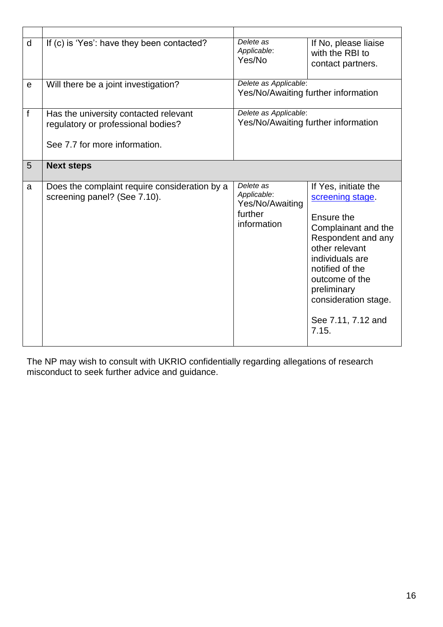| d | If (c) is 'Yes': have they been contacted?                                                                   | Delete as<br>Applicable:<br>Yes/No                                    | If No, please liaise<br>with the RBI to<br>contact partners.                                                                                                                                                                                        |
|---|--------------------------------------------------------------------------------------------------------------|-----------------------------------------------------------------------|-----------------------------------------------------------------------------------------------------------------------------------------------------------------------------------------------------------------------------------------------------|
| e | Will there be a joint investigation?                                                                         | Delete as Applicable:<br>Yes/No/Awaiting further information          |                                                                                                                                                                                                                                                     |
| f | Has the university contacted relevant<br>regulatory or professional bodies?<br>See 7.7 for more information. | Delete as Applicable:                                                 | Yes/No/Awaiting further information                                                                                                                                                                                                                 |
| 5 | <b>Next steps</b>                                                                                            |                                                                       |                                                                                                                                                                                                                                                     |
| a | Does the complaint require consideration by a<br>screening panel? (See 7.10).                                | Delete as<br>Applicable:<br>Yes/No/Awaiting<br>further<br>information | If Yes, initiate the<br>screening stage.<br>Ensure the<br>Complainant and the<br>Respondent and any<br>other relevant<br>individuals are<br>notified of the<br>outcome of the<br>preliminary<br>consideration stage.<br>See 7.11, 7.12 and<br>7.15. |

The NP may wish to consult with UKRIO confidentially regarding allegations of research misconduct to seek further advice and guidance.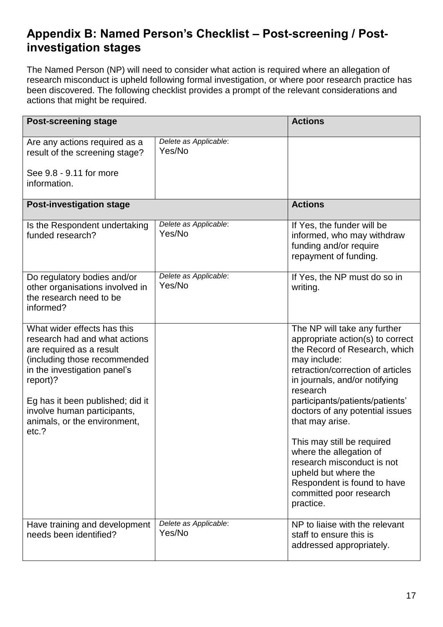## <span id="page-16-0"></span>**Appendix B: Named Person's Checklist – Post-screening / Postinvestigation stages**

The Named Person (NP) will need to consider what action is required where an allegation of research misconduct is upheld following formal investigation, or where poor research practice has been discovered. The following checklist provides a prompt of the relevant considerations and actions that might be required.

| <b>Post-screening stage</b>                                                                                                                                                                                                                                                      |                                 | <b>Actions</b>                                                                                                                                                                                                                                                                                                                                                                                              |
|----------------------------------------------------------------------------------------------------------------------------------------------------------------------------------------------------------------------------------------------------------------------------------|---------------------------------|-------------------------------------------------------------------------------------------------------------------------------------------------------------------------------------------------------------------------------------------------------------------------------------------------------------------------------------------------------------------------------------------------------------|
| Are any actions required as a<br>result of the screening stage?<br>See 9.8 - 9.11 for more<br>information.                                                                                                                                                                       | Delete as Applicable:<br>Yes/No |                                                                                                                                                                                                                                                                                                                                                                                                             |
| <b>Post-investigation stage</b>                                                                                                                                                                                                                                                  |                                 | <b>Actions</b>                                                                                                                                                                                                                                                                                                                                                                                              |
| Is the Respondent undertaking<br>funded research?                                                                                                                                                                                                                                | Delete as Applicable:<br>Yes/No | If Yes, the funder will be<br>informed, who may withdraw<br>funding and/or require<br>repayment of funding.                                                                                                                                                                                                                                                                                                 |
| Do regulatory bodies and/or<br>other organisations involved in<br>the research need to be<br>informed?                                                                                                                                                                           | Delete as Applicable:<br>Yes/No | If Yes, the NP must do so in<br>writing.                                                                                                                                                                                                                                                                                                                                                                    |
| What wider effects has this<br>research had and what actions<br>are required as a result<br>(including those recommended<br>in the investigation panel's<br>report)?<br>Eg has it been published; did it<br>involve human participants,<br>animals, or the environment,<br>etc.? |                                 | The NP will take any further<br>appropriate action(s) to correct<br>the Record of Research, which<br>may include:<br>retraction/correction of articles<br>in journals, and/or notifying<br>research<br>participants/patients/patients'<br>doctors of any potential issues<br>that may arise.<br>This may still be required<br>where the allegation of<br>research misconduct is not<br>upheld but where the |
|                                                                                                                                                                                                                                                                                  |                                 | Respondent is found to have<br>committed poor research<br>practice.                                                                                                                                                                                                                                                                                                                                         |
| Have training and development<br>needs been identified?                                                                                                                                                                                                                          | Delete as Applicable:<br>Yes/No | NP to liaise with the relevant<br>staff to ensure this is<br>addressed appropriately.                                                                                                                                                                                                                                                                                                                       |